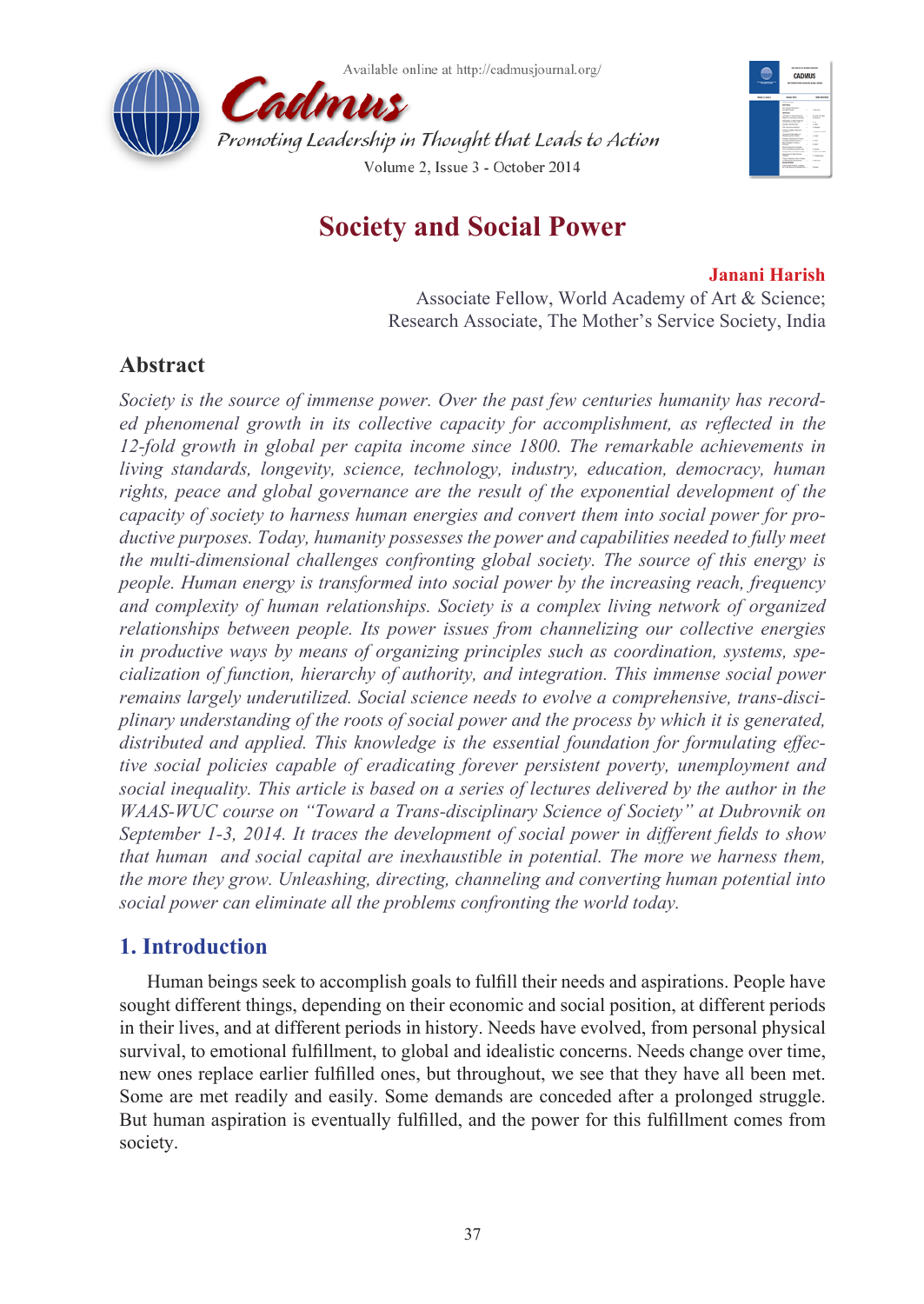



# **Society and Social Power**

### **Janani Harish**

Associate Fellow, World Academy of Art & Science; Research Associate, The Mother's Service Society, India

# **Abstract**

*Society is the source of immense power. Over the past few centuries humanity has recorded phenomenal growth in its collective capacity for accomplishment, as reflected in the 12-fold growth in global per capita income since 1800. The remarkable achievements in living standards, longevity, science, technology, industry, education, democracy, human rights, peace and global governance are the result of the exponential development of the capacity of society to harness human energies and convert them into social power for productive purposes. Today, humanity possesses the power and capabilities needed to fully meet the multi-dimensional challenges confronting global society. The source of this energy is people. Human energy is transformed into social power by the increasing reach, frequency and complexity of human relationships. Society is a complex living network of organized relationships between people. Its power issues from channelizing our collective energies in productive ways by means of organizing principles such as coordination, systems, specialization of function, hierarchy of authority, and integration. This immense social power remains largely underutilized. Social science needs to evolve a comprehensive, trans-disciplinary understanding of the roots of social power and the process by which it is generated, distributed and applied. This knowledge is the essential foundation for formulating effective social policies capable of eradicating forever persistent poverty, unemployment and social inequality. This article is based on a series of lectures delivered by the author in the WAAS-WUC course on "Toward a Trans-disciplinary Science of Society" at Dubrovnik on September 1-3, 2014. It traces the development of social power in different fields to show that human and social capital are inexhaustible in potential. The more we harness them, the more they grow. Unleashing, directing, channeling and converting human potential into social power can eliminate all the problems confronting the world today.*

# **1. Introduction**

Human beings seek to accomplish goals to fulfill their needs and aspirations. People have sought different things, depending on their economic and social position, at different periods in their lives, and at different periods in history. Needs have evolved, from personal physical survival, to emotional fulfillment, to global and idealistic concerns. Needs change over time, new ones replace earlier fulfilled ones, but throughout, we see that they have all been met. Some are met readily and easily. Some demands are conceded after a prolonged struggle. But human aspiration is eventually fulfilled, and the power for this fulfillment comes from society.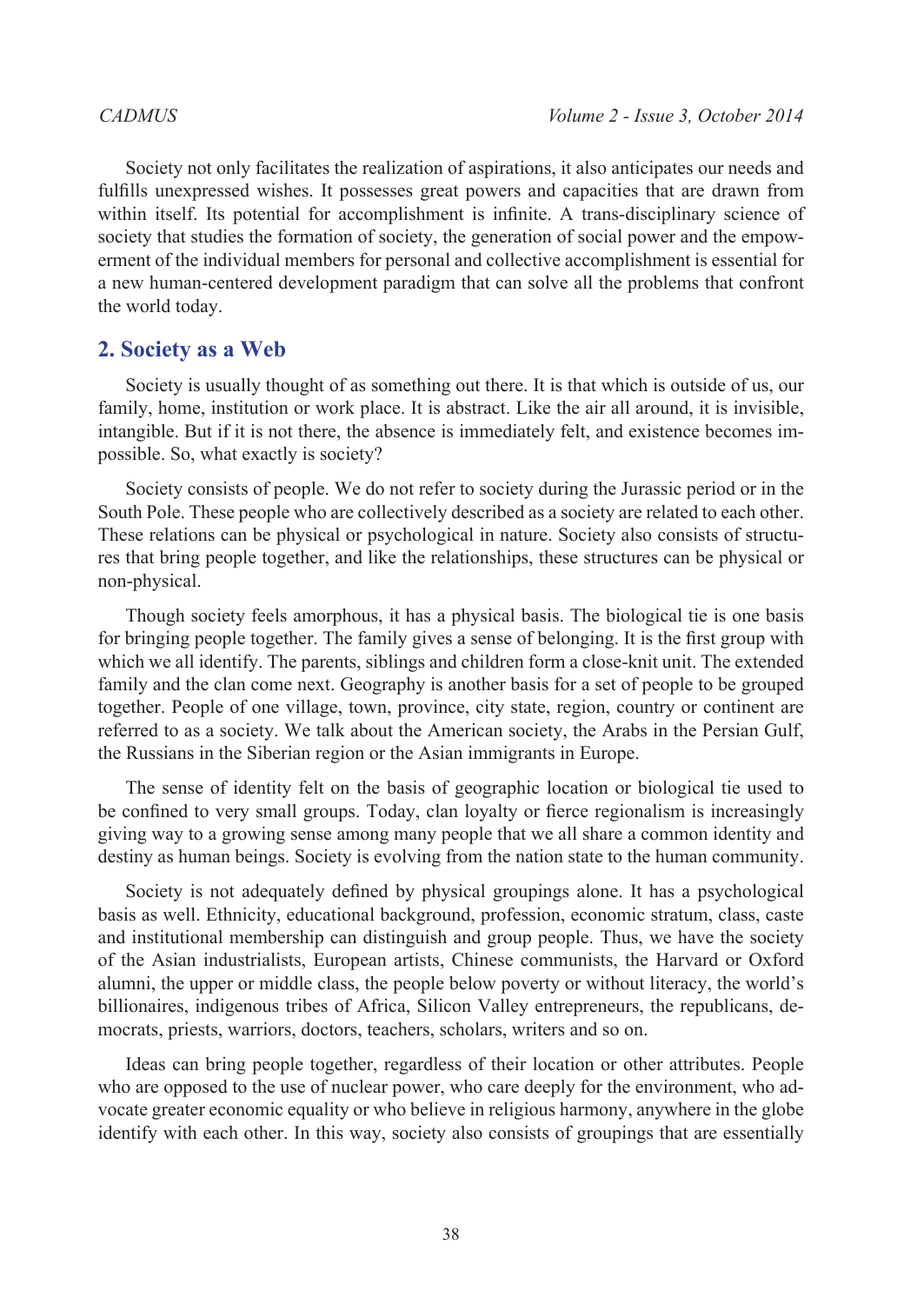Society not only facilitates the realization of aspirations, it also anticipates our needs and fulfills unexpressed wishes. It possesses great powers and capacities that are drawn from within itself. Its potential for accomplishment is infinite. A trans-disciplinary science of society that studies the formation of society, the generation of social power and the empowerment of the individual members for personal and collective accomplishment is essential for a new human-centered development paradigm that can solve all the problems that confront the world today.

## **2. Society as a Web**

Society is usually thought of as something out there. It is that which is outside of us, our family, home, institution or work place. It is abstract. Like the air all around, it is invisible, intangible. But if it is not there, the absence is immediately felt, and existence becomes impossible. So, what exactly is society?

Society consists of people. We do not refer to society during the Jurassic period or in the South Pole. These people who are collectively described as a society are related to each other. These relations can be physical or psychological in nature. Society also consists of structures that bring people together, and like the relationships, these structures can be physical or non-physical.

Though society feels amorphous, it has a physical basis. The biological tie is one basis for bringing people together. The family gives a sense of belonging. It is the first group with which we all identify. The parents, siblings and children form a close-knit unit. The extended family and the clan come next. Geography is another basis for a set of people to be grouped together. People of one village, town, province, city state, region, country or continent are referred to as a society. We talk about the American society, the Arabs in the Persian Gulf, the Russians in the Siberian region or the Asian immigrants in Europe.

The sense of identity felt on the basis of geographic location or biological tie used to be confined to very small groups. Today, clan loyalty or fierce regionalism is increasingly giving way to a growing sense among many people that we all share a common identity and destiny as human beings. Society is evolving from the nation state to the human community.

Society is not adequately defined by physical groupings alone. It has a psychological basis as well. Ethnicity, educational background, profession, economic stratum, class, caste and institutional membership can distinguish and group people. Thus, we have the society of the Asian industrialists, European artists, Chinese communists, the Harvard or Oxford alumni, the upper or middle class, the people below poverty or without literacy, the world's billionaires, indigenous tribes of Africa, Silicon Valley entrepreneurs, the republicans, democrats, priests, warriors, doctors, teachers, scholars, writers and so on.

Ideas can bring people together, regardless of their location or other attributes. People who are opposed to the use of nuclear power, who care deeply for the environment, who advocate greater economic equality or who believe in religious harmony, anywhere in the globe identify with each other. In this way, society also consists of groupings that are essentially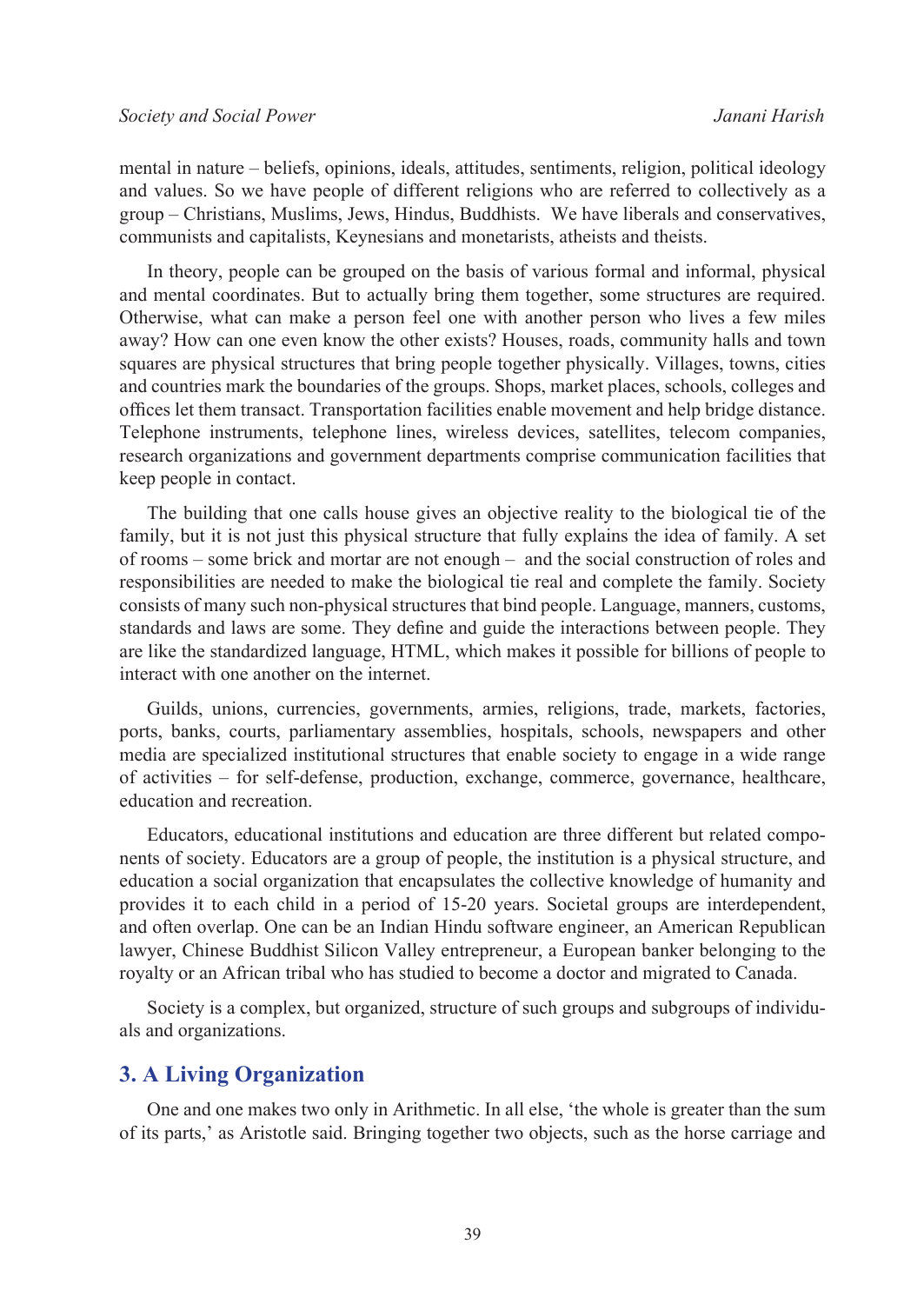mental in nature – beliefs, opinions, ideals, attitudes, sentiments, religion, political ideology and values. So we have people of different religions who are referred to collectively as a group – Christians, Muslims, Jews, Hindus, Buddhists. We have liberals and conservatives, communists and capitalists, Keynesians and monetarists, atheists and theists.

In theory, people can be grouped on the basis of various formal and informal, physical and mental coordinates. But to actually bring them together, some structures are required. Otherwise, what can make a person feel one with another person who lives a few miles away? How can one even know the other exists? Houses, roads, community halls and town squares are physical structures that bring people together physically. Villages, towns, cities and countries mark the boundaries of the groups. Shops, market places, schools, colleges and offices let them transact. Transportation facilities enable movement and help bridge distance. Telephone instruments, telephone lines, wireless devices, satellites, telecom companies, research organizations and government departments comprise communication facilities that keep people in contact.

The building that one calls house gives an objective reality to the biological tie of the family, but it is not just this physical structure that fully explains the idea of family. A set of rooms – some brick and mortar are not enough – and the social construction of roles and responsibilities are needed to make the biological tie real and complete the family. Society consists of many such non-physical structures that bind people. Language, manners, customs, standards and laws are some. They define and guide the interactions between people. They are like the standardized language, HTML, which makes it possible for billions of people to interact with one another on the internet.

Guilds, unions, currencies, governments, armies, religions, trade, markets, factories, ports, banks, courts, parliamentary assemblies, hospitals, schools, newspapers and other media are specialized institutional structures that enable society to engage in a wide range of activities – for self-defense, production, exchange, commerce, governance, healthcare, education and recreation.

Educators, educational institutions and education are three different but related components of society. Educators are a group of people, the institution is a physical structure, and education a social organization that encapsulates the collective knowledge of humanity and provides it to each child in a period of 15-20 years. Societal groups are interdependent, and often overlap. One can be an Indian Hindu software engineer, an American Republican lawyer, Chinese Buddhist Silicon Valley entrepreneur, a European banker belonging to the royalty or an African tribal who has studied to become a doctor and migrated to Canada.

Society is a complex, but organized, structure of such groups and subgroups of individuals and organizations.

### **3. A Living Organization**

One and one makes two only in Arithmetic. In all else, 'the whole is greater than the sum of its parts,' as Aristotle said. Bringing together two objects, such as the horse carriage and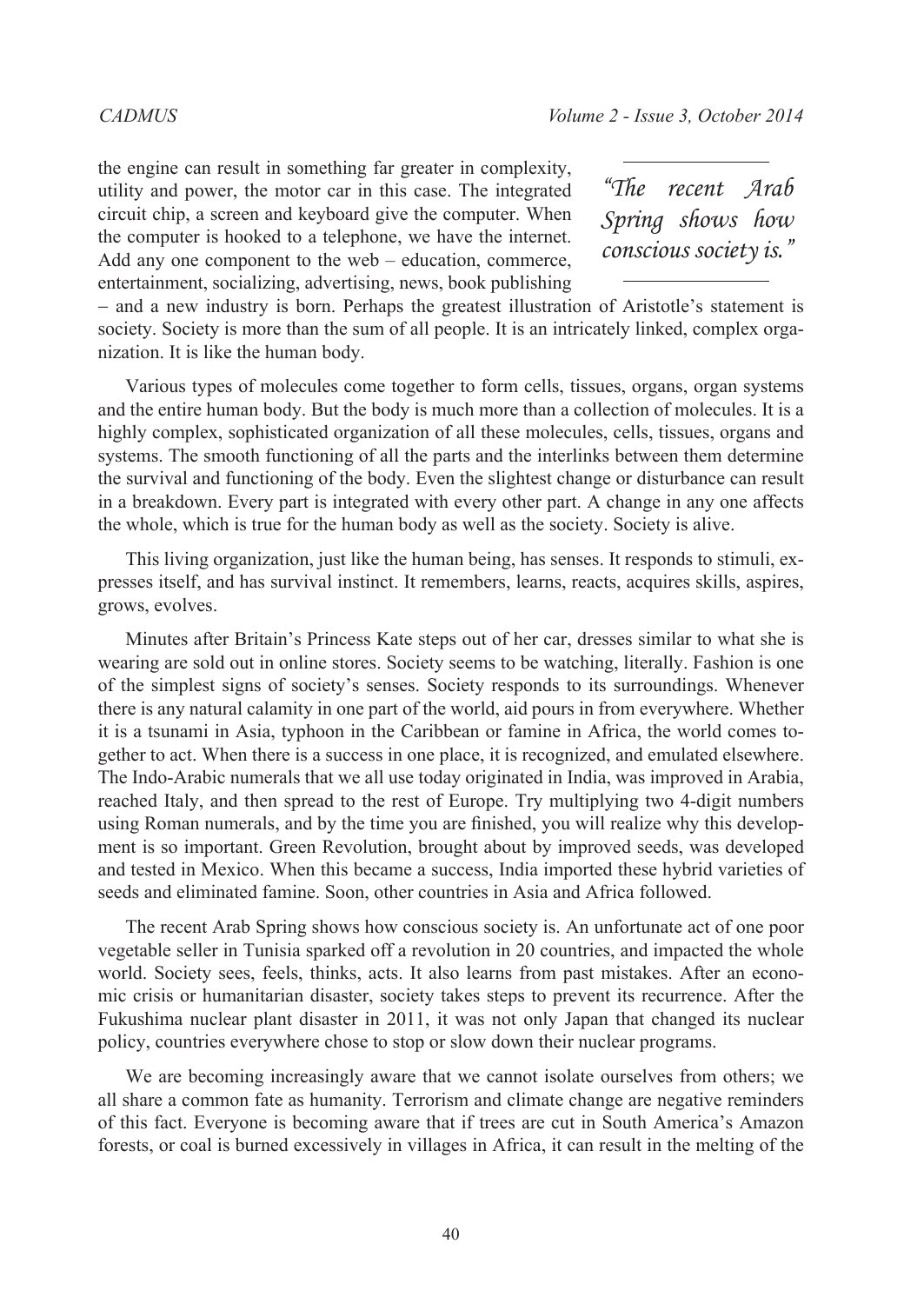the engine can result in something far greater in complexity, utility and power, the motor car in this case. The integrated circuit chip, a screen and keyboard give the computer. When the computer is hooked to a telephone, we have the internet. Add any one component to the web – education, commerce, entertainment, socializing, advertising, news, book publishing

*"The recent Arab Spring shows how conscious society is."*

− and a new industry is born. Perhaps the greatest illustration of Aristotle's statement is society. Society is more than the sum of all people. It is an intricately linked, complex organization. It is like the human body.

Various types of molecules come together to form cells, tissues, organs, organ systems and the entire human body. But the body is much more than a collection of molecules. It is a highly complex, sophisticated organization of all these molecules, cells, tissues, organs and systems. The smooth functioning of all the parts and the interlinks between them determine the survival and functioning of the body. Even the slightest change or disturbance can result in a breakdown. Every part is integrated with every other part. A change in any one affects the whole, which is true for the human body as well as the society. Society is alive.

This living organization, just like the human being, has senses. It responds to stimuli, expresses itself, and has survival instinct. It remembers, learns, reacts, acquires skills, aspires, grows, evolves.

Minutes after Britain's Princess Kate steps out of her car, dresses similar to what she is wearing are sold out in online stores. Society seems to be watching, literally. Fashion is one of the simplest signs of society's senses. Society responds to its surroundings. Whenever there is any natural calamity in one part of the world, aid pours in from everywhere. Whether it is a tsunami in Asia, typhoon in the Caribbean or famine in Africa, the world comes together to act. When there is a success in one place, it is recognized, and emulated elsewhere. The Indo-Arabic numerals that we all use today originated in India, was improved in Arabia, reached Italy, and then spread to the rest of Europe. Try multiplying two 4-digit numbers using Roman numerals, and by the time you are finished, you will realize why this development is so important. Green Revolution, brought about by improved seeds, was developed and tested in Mexico. When this became a success, India imported these hybrid varieties of seeds and eliminated famine. Soon, other countries in Asia and Africa followed.

The recent Arab Spring shows how conscious society is. An unfortunate act of one poor vegetable seller in Tunisia sparked off a revolution in 20 countries, and impacted the whole world. Society sees, feels, thinks, acts. It also learns from past mistakes. After an economic crisis or humanitarian disaster, society takes steps to prevent its recurrence. After the Fukushima nuclear plant disaster in 2011, it was not only Japan that changed its nuclear policy, countries everywhere chose to stop or slow down their nuclear programs.

We are becoming increasingly aware that we cannot isolate ourselves from others; we all share a common fate as humanity. Terrorism and climate change are negative reminders of this fact. Everyone is becoming aware that if trees are cut in South America's Amazon forests, or coal is burned excessively in villages in Africa, it can result in the melting of the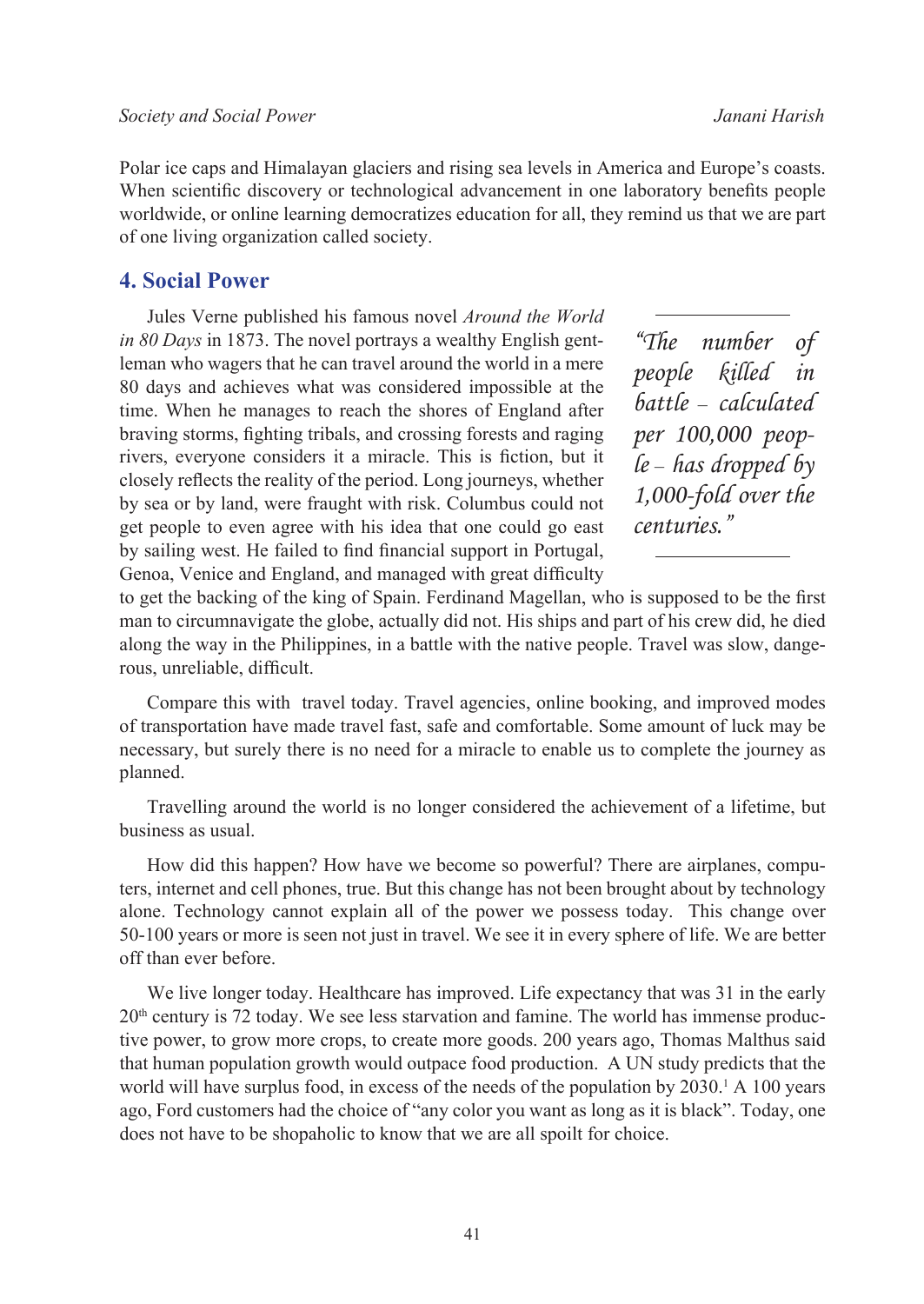Polar ice caps and Himalayan glaciers and rising sea levels in America and Europe's coasts. When scientific discovery or technological advancement in one laboratory benefits people worldwide, or online learning democratizes education for all, they remind us that we are part of one living organization called society.

# **4. Social Power**

Jules Verne published his famous novel *Around the World in 80 Days* in 1873. The novel portrays a wealthy English gentleman who wagers that he can travel around the world in a mere 80 days and achieves what was considered impossible at the time. When he manages to reach the shores of England after braving storms, fighting tribals, and crossing forests and raging rivers, everyone considers it a miracle. This is fiction, but it closely reflects the reality of the period. Long journeys, whether by sea or by land, were fraught with risk. Columbus could not get people to even agree with his idea that one could go east by sailing west. He failed to find financial support in Portugal, Genoa, Venice and England, and managed with great difficulty

*"The number of people killed in battle* – *calculated per 100,000 people* – *has dropped by 1,000-fold over the centuries."*

to get the backing of the king of Spain. Ferdinand Magellan, who is supposed to be the first man to circumnavigate the globe, actually did not. His ships and part of his crew did, he died along the way in the Philippines, in a battle with the native people. Travel was slow, dangerous, unreliable, difficult.

Compare this with travel today. Travel agencies, online booking, and improved modes of transportation have made travel fast, safe and comfortable. Some amount of luck may be necessary, but surely there is no need for a miracle to enable us to complete the journey as planned.

Travelling around the world is no longer considered the achievement of a lifetime, but business as usual.

How did this happen? How have we become so powerful? There are airplanes, computers, internet and cell phones, true. But this change has not been brought about by technology alone. Technology cannot explain all of the power we possess today. This change over 50-100 years or more is seen not just in travel. We see it in every sphere of life. We are better off than ever before.

We live longer today. Healthcare has improved. Life expectancy that was 31 in the early  $20<sup>th</sup>$  century is 72 today. We see less starvation and famine. The world has immense productive power, to grow more crops, to create more goods. 200 years ago, Thomas Malthus said that human population growth would outpace food production. A UN study predicts that the world will have surplus food, in excess of the needs of the population by  $2030<sup>1</sup>$  $2030<sup>1</sup>$  $2030<sup>1</sup>$  A 100 years ago, Ford customers had the choice of "any color you want as long as it is black". Today, one does not have to be shopaholic to know that we are all spoilt for choice.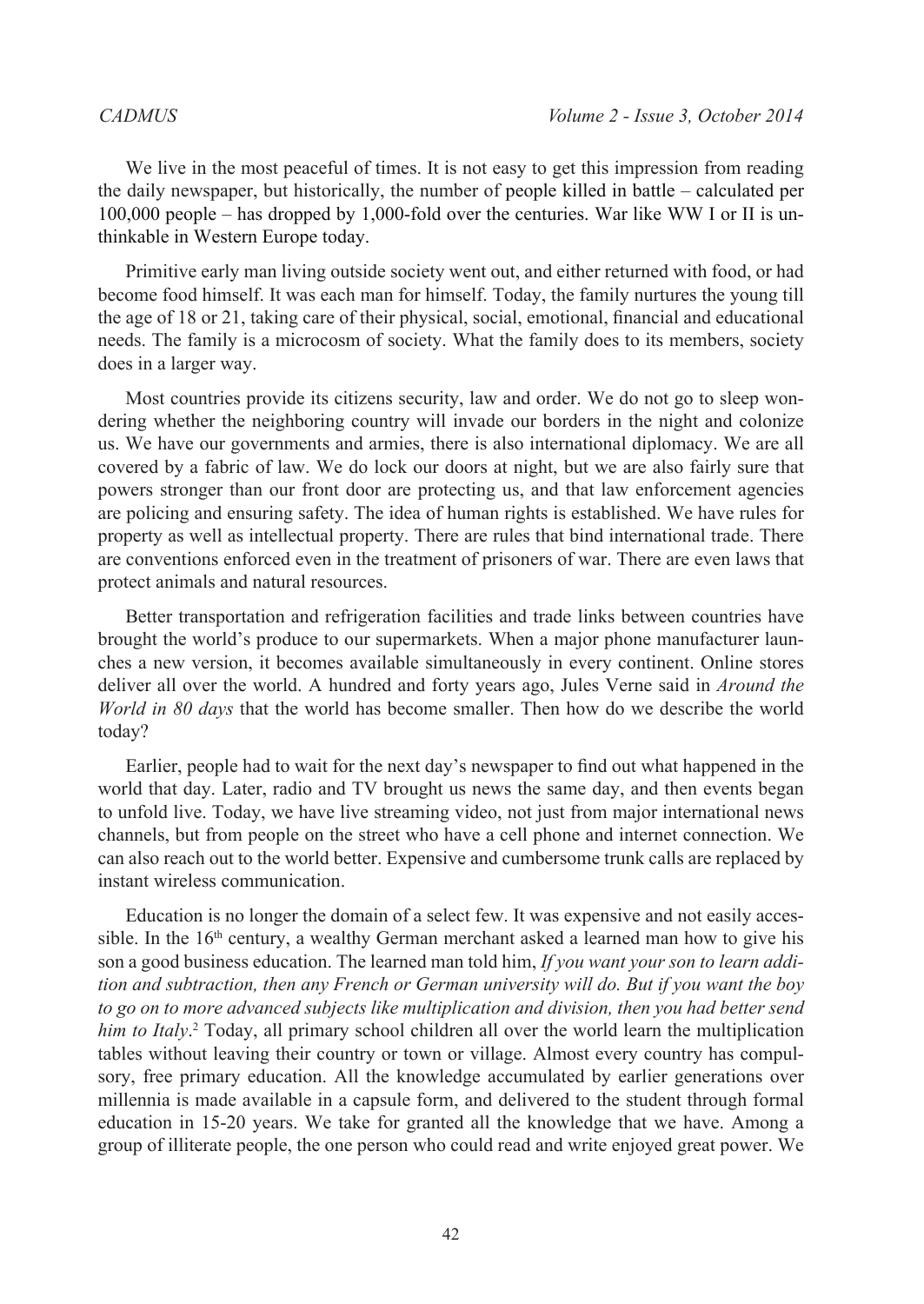We live in the most peaceful of times. It is not easy to get this impression from reading the daily newspaper, but historically, the number of people killed in battle – calculated per 100,000 people – has dropped by 1,000-fold over the centuries. War like WW I or II is unthinkable in Western Europe today.

Primitive early man living outside society went out, and either returned with food, or had become food himself. It was each man for himself. Today, the family nurtures the young till the age of 18 or 21, taking care of their physical, social, emotional, financial and educational needs. The family is a microcosm of society. What the family does to its members, society does in a larger way.

Most countries provide its citizens security, law and order. We do not go to sleep wondering whether the neighboring country will invade our borders in the night and colonize us. We have our governments and armies, there is also international diplomacy. We are all covered by a fabric of law. We do lock our doors at night, but we are also fairly sure that powers stronger than our front door are protecting us, and that law enforcement agencies are policing and ensuring safety. The idea of human rights is established. We have rules for property as well as intellectual property. There are rules that bind international trade. There are conventions enforced even in the treatment of prisoners of war. There are even laws that protect animals and natural resources.

Better transportation and refrigeration facilities and trade links between countries have brought the world's produce to our supermarkets. When a major phone manufacturer launches a new version, it becomes available simultaneously in every continent. Online stores deliver all over the world. A hundred and forty years ago, Jules Verne said in *Around the World in 80 days* that the world has become smaller. Then how do we describe the world today?

Earlier, people had to wait for the next day's newspaper to find out what happened in the world that day. Later, radio and TV brought us news the same day, and then events began to unfold live. Today, we have live streaming video, not just from major international news channels, but from people on the street who have a cell phone and internet connection. We can also reach out to the world better. Expensive and cumbersome trunk calls are replaced by instant wireless communication.

Education is no longer the domain of a select few. It was expensive and not easily accessible. In the  $16<sup>th</sup>$  century, a wealthy German merchant asked a learned man how to give his son a good business education. The learned man told him, *If you want your son to learn addition and subtraction, then any French or German university will do. But if you want the boy to go on to more advanced subjects like multiplication and division, then you had better send*  him to Italy.<sup>[2](#page-12-1)</sup> Today, all primary school children all over the world learn the multiplication tables without leaving their country or town or village. Almost every country has compulsory, free primary education. All the knowledge accumulated by earlier generations over millennia is made available in a capsule form, and delivered to the student through formal education in 15-20 years. We take for granted all the knowledge that we have. Among a group of illiterate people, the one person who could read and write enjoyed great power. We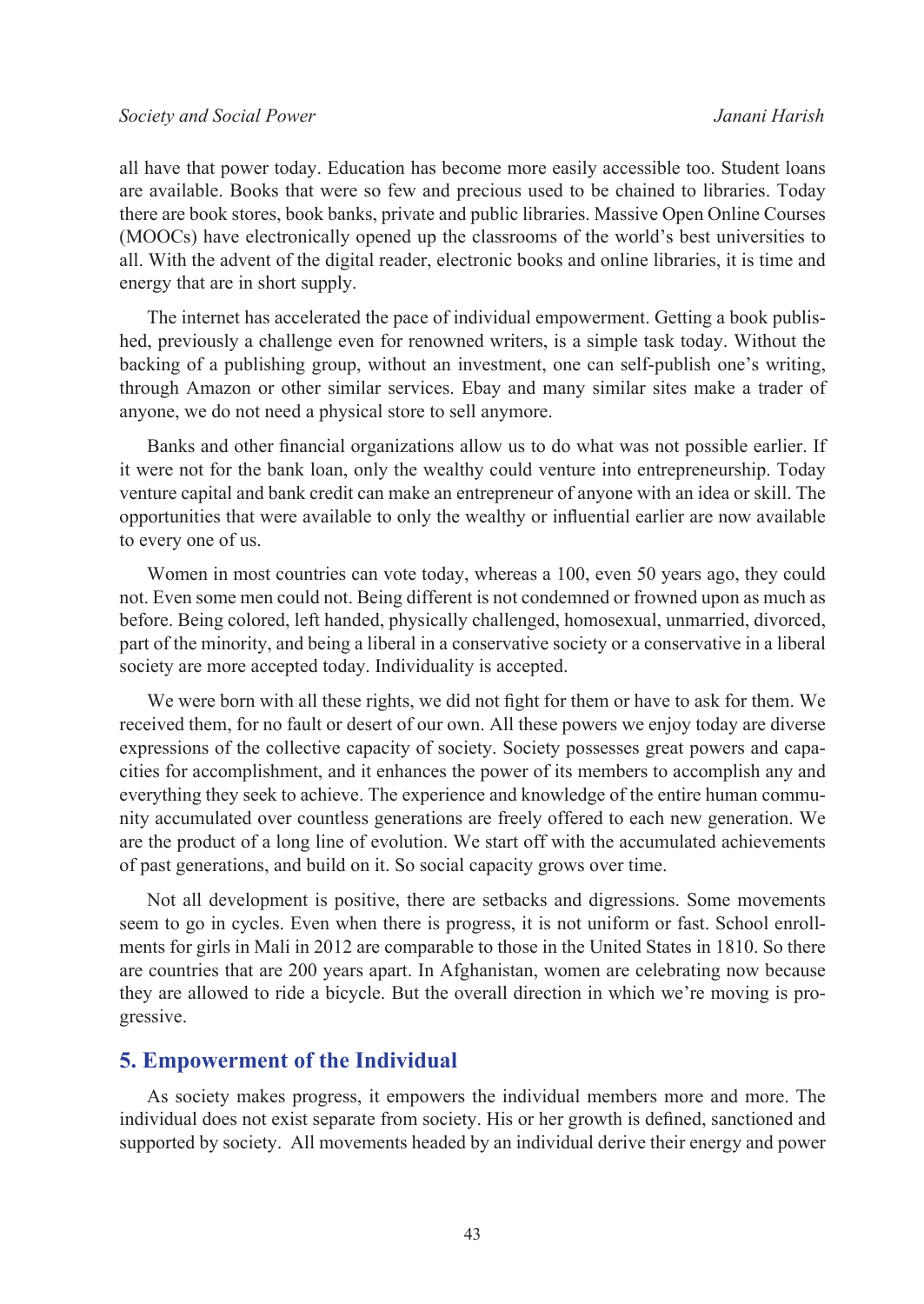all have that power today. Education has become more easily accessible too. Student loans are available. Books that were so few and precious used to be chained to libraries. Today there are book stores, book banks, private and public libraries. Massive Open Online Courses (MOOCs) have electronically opened up the classrooms of the world's best universities to all. With the advent of the digital reader, electronic books and online libraries, it is time and energy that are in short supply.

The internet has accelerated the pace of individual empowerment. Getting a book published, previously a challenge even for renowned writers, is a simple task today. Without the backing of a publishing group, without an investment, one can self-publish one's writing, through Amazon or other similar services. Ebay and many similar sites make a trader of anyone, we do not need a physical store to sell anymore.

Banks and other financial organizations allow us to do what was not possible earlier. If it were not for the bank loan, only the wealthy could venture into entrepreneurship. Today venture capital and bank credit can make an entrepreneur of anyone with an idea or skill. The opportunities that were available to only the wealthy or influential earlier are now available to every one of us.

Women in most countries can vote today, whereas a 100, even 50 years ago, they could not. Even some men could not. Being different is not condemned or frowned upon as much as before. Being colored, left handed, physically challenged, homosexual, unmarried, divorced, part of the minority, and being a liberal in a conservative society or a conservative in a liberal society are more accepted today. Individuality is accepted.

We were born with all these rights, we did not fight for them or have to ask for them. We received them, for no fault or desert of our own. All these powers we enjoy today are diverse expressions of the collective capacity of society. Society possesses great powers and capacities for accomplishment, and it enhances the power of its members to accomplish any and everything they seek to achieve. The experience and knowledge of the entire human community accumulated over countless generations are freely offered to each new generation. We are the product of a long line of evolution. We start off with the accumulated achievements of past generations, and build on it. So social capacity grows over time.

Not all development is positive, there are setbacks and digressions. Some movements seem to go in cycles. Even when there is progress, it is not uniform or fast. School enrollments for girls in Mali in 2012 are comparable to those in the United States in 1810. So there are countries that are 200 years apart. In Afghanistan, women are celebrating now because they are allowed to ride a bicycle. But the overall direction in which we're moving is progressive.

### **5. Empowerment of the Individual**

As society makes progress, it empowers the individual members more and more. The individual does not exist separate from society. His or her growth is defined, sanctioned and supported by society. All movements headed by an individual derive their energy and power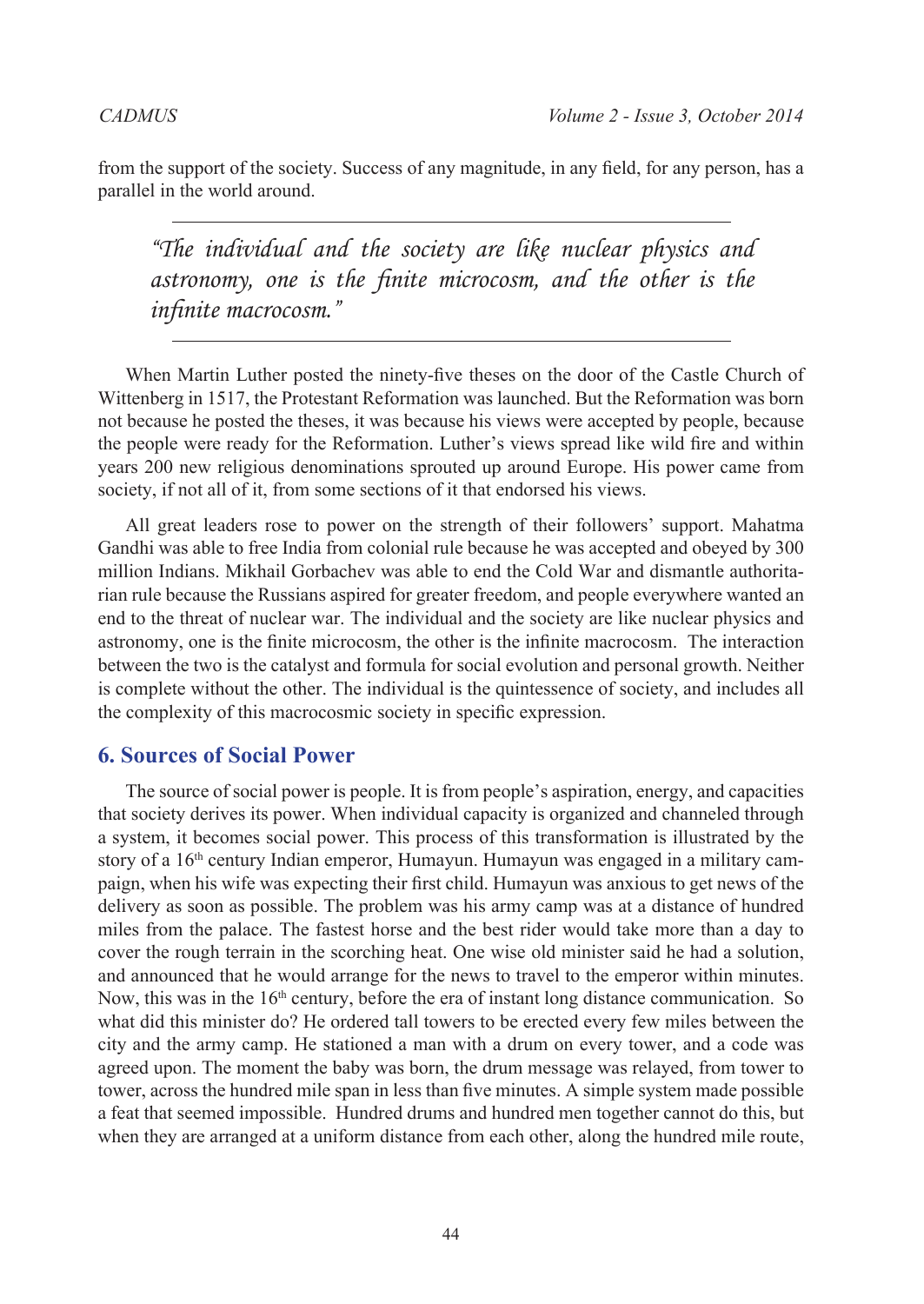from the support of the society. Success of any magnitude, in any field, for any person, has a parallel in the world around.

*"The individual and the society are like nuclear physics and astronomy, one is the finite microcosm, and the other is the infinite macrocosm."*

When Martin Luther posted the ninety-five theses on the door of the Castle Church of Wittenberg in 1517, the Protestant Reformation was launched. But the Reformation was born not because he posted the theses, it was because his views were accepted by people, because the people were ready for the Reformation. Luther's views spread like wild fire and within years 200 new religious denominations sprouted up around Europe. His power came from society, if not all of it, from some sections of it that endorsed his views.

All great leaders rose to power on the strength of their followers' support. Mahatma Gandhi was able to free India from colonial rule because he was accepted and obeyed by 300 million Indians. Mikhail Gorbachev was able to end the Cold War and dismantle authoritarian rule because the Russians aspired for greater freedom, and people everywhere wanted an end to the threat of nuclear war. The individual and the society are like nuclear physics and astronomy, one is the finite microcosm, the other is the infinite macrocosm. The interaction between the two is the catalyst and formula for social evolution and personal growth. Neither is complete without the other. The individual is the quintessence of society, and includes all the complexity of this macrocosmic society in specific expression.

# **6. Sources of Social Power**

The source of social power is people. It is from people's aspiration, energy, and capacities that society derives its power. When individual capacity is organized and channeled through a system, it becomes social power. This process of this transformation is illustrated by the story of a 16th century Indian emperor, Humayun. Humayun was engaged in a military campaign, when his wife was expecting their first child. Humayun was anxious to get news of the delivery as soon as possible. The problem was his army camp was at a distance of hundred miles from the palace. The fastest horse and the best rider would take more than a day to cover the rough terrain in the scorching heat. One wise old minister said he had a solution, and announced that he would arrange for the news to travel to the emperor within minutes. Now, this was in the  $16<sup>th</sup>$  century, before the era of instant long distance communication. So what did this minister do? He ordered tall towers to be erected every few miles between the city and the army camp. He stationed a man with a drum on every tower, and a code was agreed upon. The moment the baby was born, the drum message was relayed, from tower to tower, across the hundred mile span in less than five minutes. A simple system made possible a feat that seemed impossible. Hundred drums and hundred men together cannot do this, but when they are arranged at a uniform distance from each other, along the hundred mile route,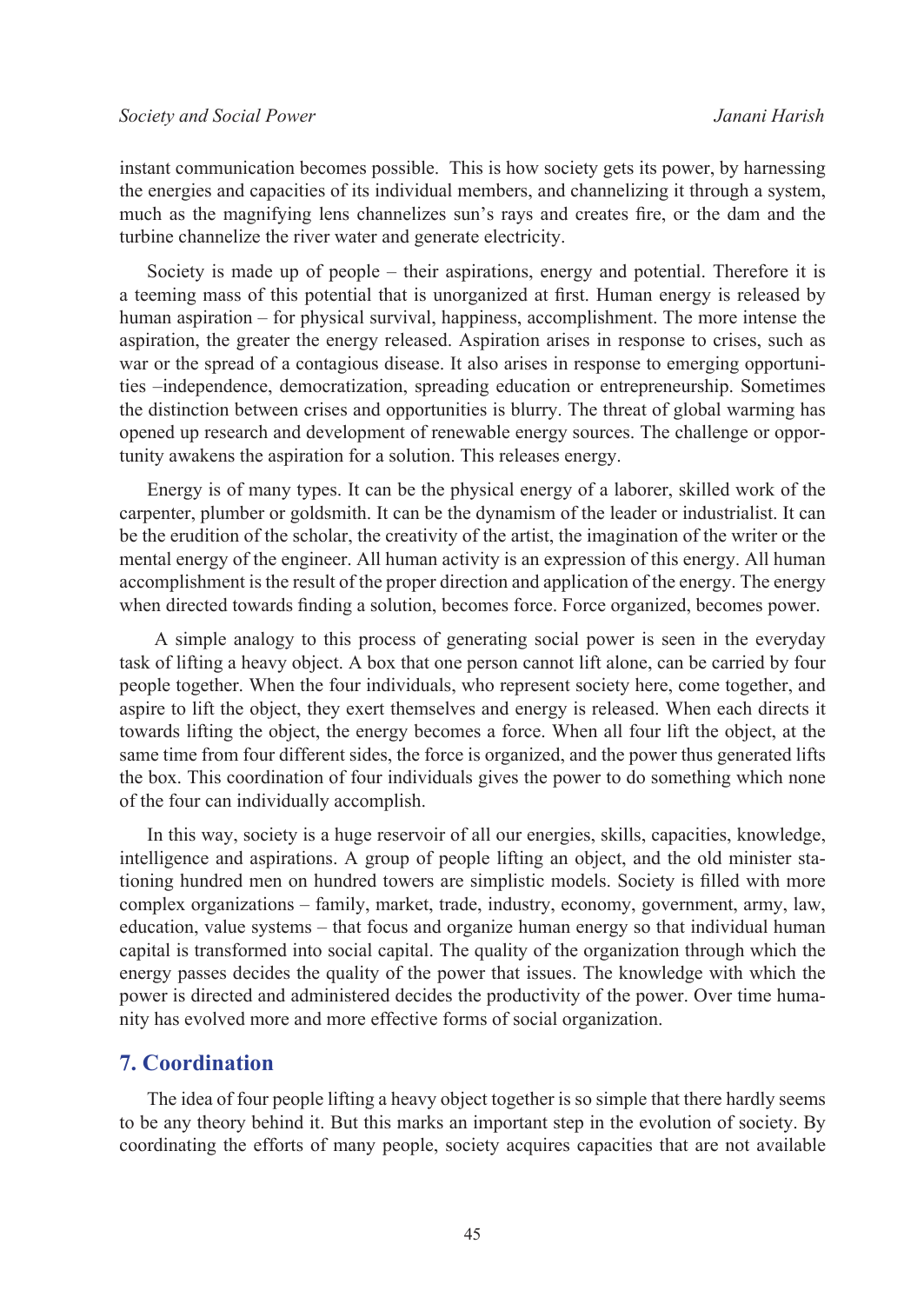instant communication becomes possible. This is how society gets its power, by harnessing the energies and capacities of its individual members, and channelizing it through a system, much as the magnifying lens channelizes sun's rays and creates fire, or the dam and the turbine channelize the river water and generate electricity.

Society is made up of people – their aspirations, energy and potential. Therefore it is a teeming mass of this potential that is unorganized at first. Human energy is released by human aspiration – for physical survival, happiness, accomplishment. The more intense the aspiration, the greater the energy released. Aspiration arises in response to crises, such as war or the spread of a contagious disease. It also arises in response to emerging opportunities –independence, democratization, spreading education or entrepreneurship. Sometimes the distinction between crises and opportunities is blurry. The threat of global warming has opened up research and development of renewable energy sources. The challenge or opportunity awakens the aspiration for a solution. This releases energy.

Energy is of many types. It can be the physical energy of a laborer, skilled work of the carpenter, plumber or goldsmith. It can be the dynamism of the leader or industrialist. It can be the erudition of the scholar, the creativity of the artist, the imagination of the writer or the mental energy of the engineer. All human activity is an expression of this energy. All human accomplishment is the result of the proper direction and application of the energy. The energy when directed towards finding a solution, becomes force. Force organized, becomes power.

 A simple analogy to this process of generating social power is seen in the everyday task of lifting a heavy object. A box that one person cannot lift alone, can be carried by four people together. When the four individuals, who represent society here, come together, and aspire to lift the object, they exert themselves and energy is released. When each directs it towards lifting the object, the energy becomes a force. When all four lift the object, at the same time from four different sides, the force is organized, and the power thus generated lifts the box. This coordination of four individuals gives the power to do something which none of the four can individually accomplish.

In this way, society is a huge reservoir of all our energies, skills, capacities, knowledge, intelligence and aspirations. A group of people lifting an object, and the old minister stationing hundred men on hundred towers are simplistic models. Society is filled with more complex organizations – family, market, trade, industry, economy, government, army, law, education, value systems – that focus and organize human energy so that individual human capital is transformed into social capital. The quality of the organization through which the energy passes decides the quality of the power that issues. The knowledge with which the power is directed and administered decides the productivity of the power. Over time humanity has evolved more and more effective forms of social organization.

# **7. Coordination**

The idea of four people lifting a heavy object together is so simple that there hardly seems to be any theory behind it. But this marks an important step in the evolution of society. By coordinating the efforts of many people, society acquires capacities that are not available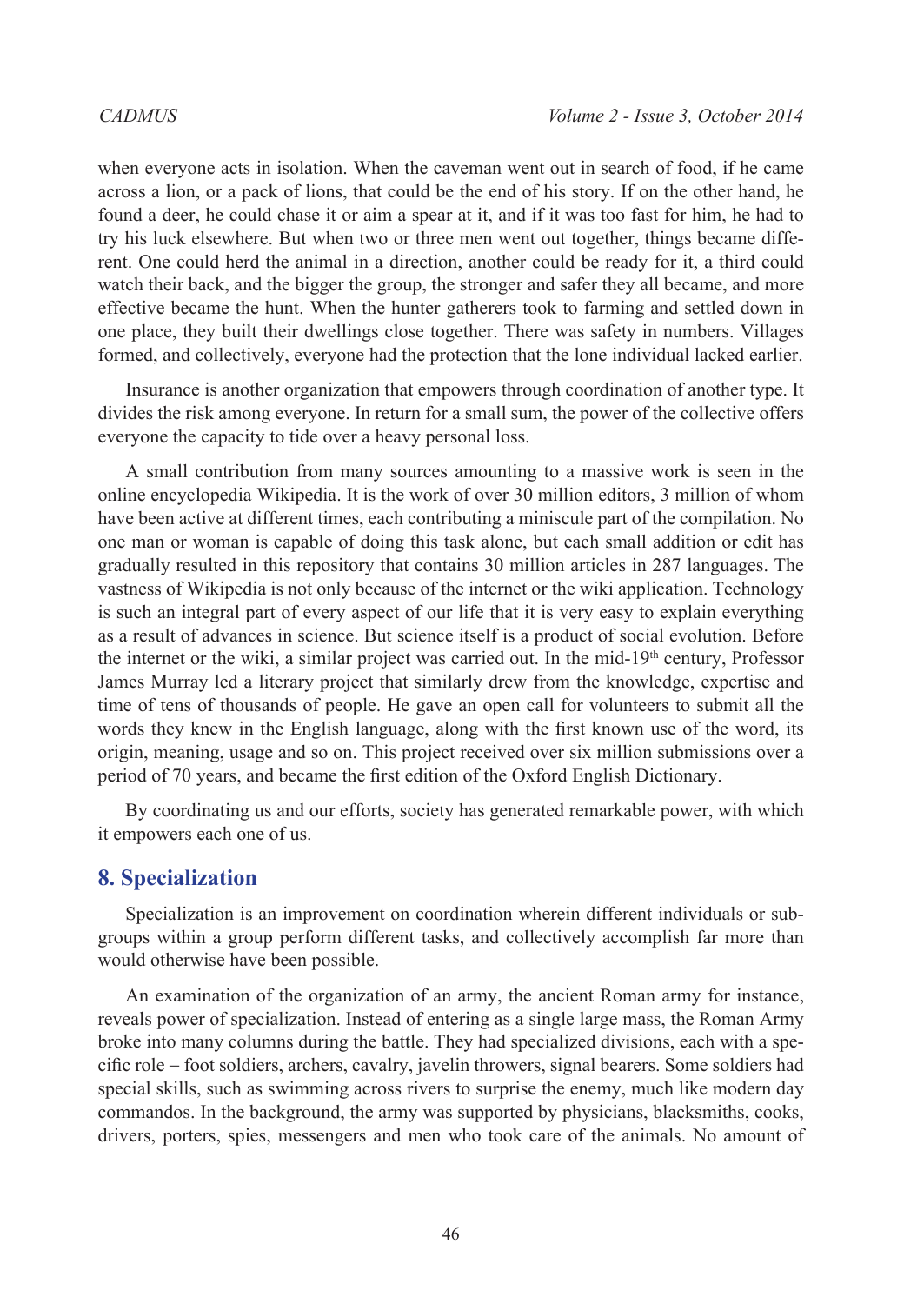when everyone acts in isolation. When the caveman went out in search of food, if he came across a lion, or a pack of lions, that could be the end of his story. If on the other hand, he found a deer, he could chase it or aim a spear at it, and if it was too fast for him, he had to try his luck elsewhere. But when two or three men went out together, things became different. One could herd the animal in a direction, another could be ready for it, a third could watch their back, and the bigger the group, the stronger and safer they all became, and more effective became the hunt. When the hunter gatherers took to farming and settled down in one place, they built their dwellings close together. There was safety in numbers. Villages formed, and collectively, everyone had the protection that the lone individual lacked earlier.

Insurance is another organization that empowers through coordination of another type. It divides the risk among everyone. In return for a small sum, the power of the collective offers everyone the capacity to tide over a heavy personal loss.

A small contribution from many sources amounting to a massive work is seen in the online encyclopedia Wikipedia. It is the work of over 30 million editors, 3 million of whom have been active at different times, each contributing a miniscule part of the compilation. No one man or woman is capable of doing this task alone, but each small addition or edit has gradually resulted in this repository that contains 30 million articles in 287 languages. The vastness of Wikipedia is not only because of the internet or the wiki application. Technology is such an integral part of every aspect of our life that it is very easy to explain everything as a result of advances in science. But science itself is a product of social evolution. Before the internet or the wiki, a similar project was carried out. In the mid-19<sup>th</sup> century, Professor James Murray led a literary project that similarly drew from the knowledge, expertise and time of tens of thousands of people. He gave an open call for volunteers to submit all the words they knew in the English language, along with the first known use of the word, its origin, meaning, usage and so on. This project received over six million submissions over a period of 70 years, and became the first edition of the Oxford English Dictionary.

By coordinating us and our efforts, society has generated remarkable power, with which it empowers each one of us.

## **8. Specialization**

Specialization is an improvement on coordination wherein different individuals or subgroups within a group perform different tasks, and collectively accomplish far more than would otherwise have been possible.

An examination of the organization of an army, the ancient Roman army for instance, reveals power of specialization. Instead of entering as a single large mass, the Roman Army broke into many columns during the battle. They had specialized divisions, each with a specific role − foot soldiers, archers, cavalry, javelin throwers, signal bearers. Some soldiers had special skills, such as swimming across rivers to surprise the enemy, much like modern day commandos. In the background, the army was supported by physicians, blacksmiths, cooks, drivers, porters, spies, messengers and men who took care of the animals. No amount of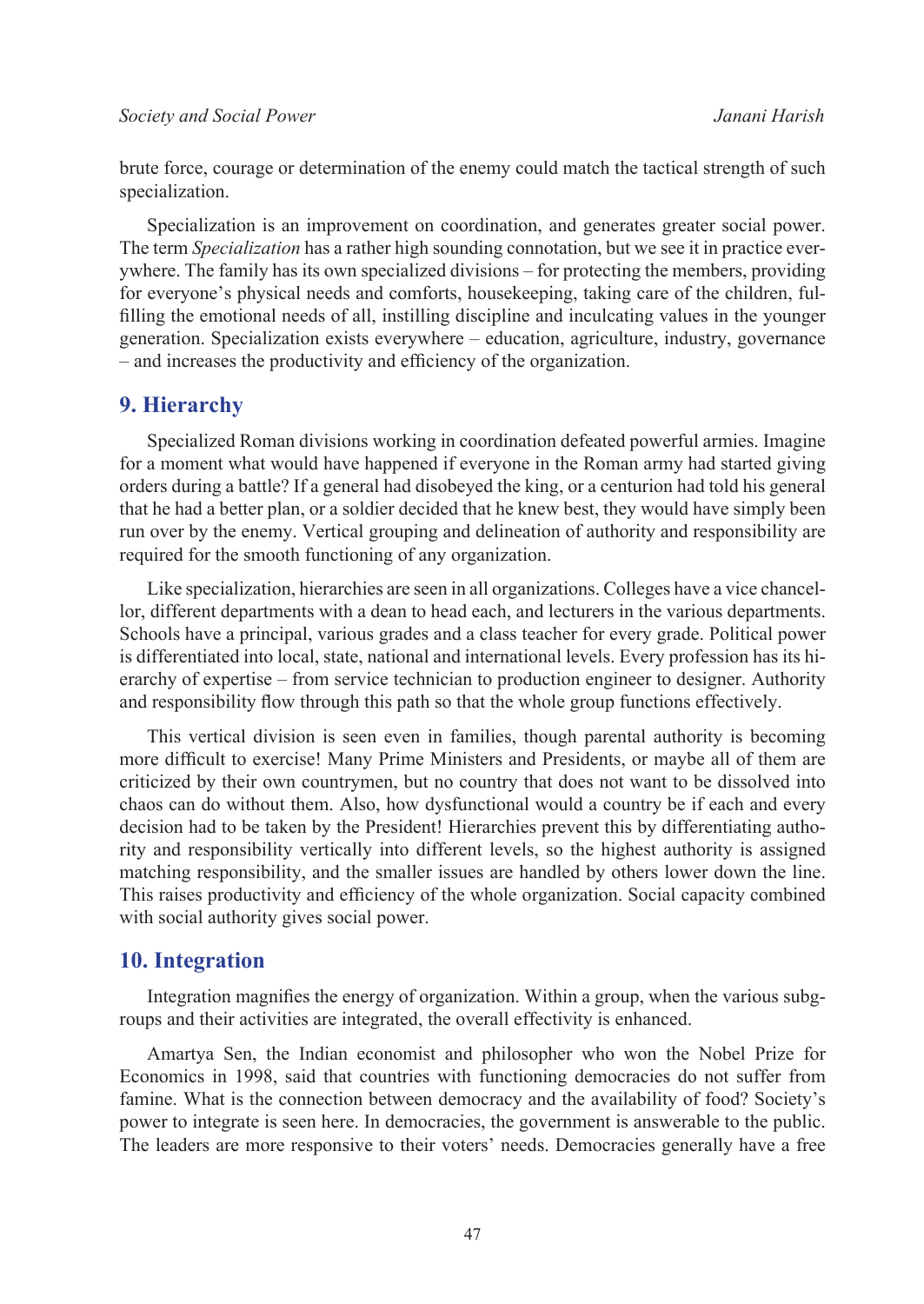brute force, courage or determination of the enemy could match the tactical strength of such specialization.

Specialization is an improvement on coordination, and generates greater social power. The term *Specialization* has a rather high sounding connotation, but we see it in practice everywhere. The family has its own specialized divisions – for protecting the members, providing for everyone's physical needs and comforts, housekeeping, taking care of the children, fulfilling the emotional needs of all, instilling discipline and inculcating values in the younger generation. Specialization exists everywhere – education, agriculture, industry, governance – and increases the productivity and efficiency of the organization.

# **9. Hierarchy**

Specialized Roman divisions working in coordination defeated powerful armies. Imagine for a moment what would have happened if everyone in the Roman army had started giving orders during a battle? If a general had disobeyed the king, or a centurion had told his general that he had a better plan, or a soldier decided that he knew best, they would have simply been run over by the enemy. Vertical grouping and delineation of authority and responsibility are required for the smooth functioning of any organization.

Like specialization, hierarchies are seen in all organizations. Colleges have a vice chancellor, different departments with a dean to head each, and lecturers in the various departments. Schools have a principal, various grades and a class teacher for every grade. Political power is differentiated into local, state, national and international levels. Every profession has its hierarchy of expertise – from service technician to production engineer to designer. Authority and responsibility flow through this path so that the whole group functions effectively.

This vertical division is seen even in families, though parental authority is becoming more difficult to exercise! Many Prime Ministers and Presidents, or maybe all of them are criticized by their own countrymen, but no country that does not want to be dissolved into chaos can do without them. Also, how dysfunctional would a country be if each and every decision had to be taken by the President! Hierarchies prevent this by differentiating authority and responsibility vertically into different levels, so the highest authority is assigned matching responsibility, and the smaller issues are handled by others lower down the line. This raises productivity and efficiency of the whole organization. Social capacity combined with social authority gives social power.

# **10. Integration**

Integration magnifies the energy of organization. Within a group, when the various subgroups and their activities are integrated, the overall effectivity is enhanced.

Amartya Sen, the Indian economist and philosopher who won the Nobel Prize for Economics in 1998, said that countries with functioning democracies do not suffer from famine. What is the connection between democracy and the availability of food? Society's power to integrate is seen here. In democracies, the government is answerable to the public. The leaders are more responsive to their voters' needs. Democracies generally have a free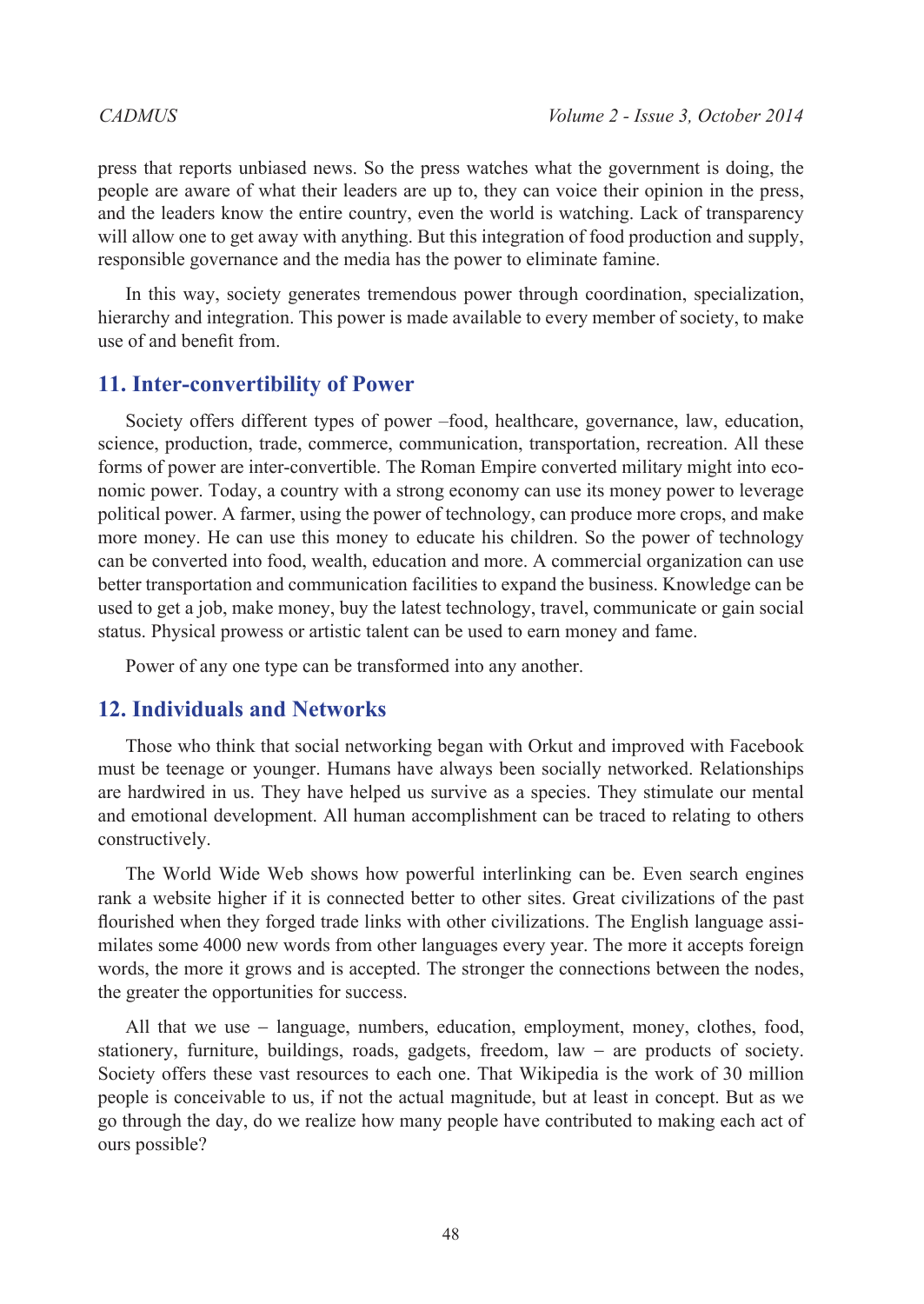press that reports unbiased news. So the press watches what the government is doing, the people are aware of what their leaders are up to, they can voice their opinion in the press, and the leaders know the entire country, even the world is watching. Lack of transparency will allow one to get away with anything. But this integration of food production and supply, responsible governance and the media has the power to eliminate famine.

In this way, society generates tremendous power through coordination, specialization, hierarchy and integration. This power is made available to every member of society, to make use of and benefit from.

## **11. Inter-convertibility of Power**

Society offers different types of power –food, healthcare, governance, law, education, science, production, trade, commerce, communication, transportation, recreation. All these forms of power are inter-convertible. The Roman Empire converted military might into economic power. Today, a country with a strong economy can use its money power to leverage political power. A farmer, using the power of technology, can produce more crops, and make more money. He can use this money to educate his children. So the power of technology can be converted into food, wealth, education and more. A commercial organization can use better transportation and communication facilities to expand the business. Knowledge can be used to get a job, make money, buy the latest technology, travel, communicate or gain social status. Physical prowess or artistic talent can be used to earn money and fame.

Power of any one type can be transformed into any another.

# **12. Individuals and Networks**

Those who think that social networking began with Orkut and improved with Facebook must be teenage or younger. Humans have always been socially networked. Relationships are hardwired in us. They have helped us survive as a species. They stimulate our mental and emotional development. All human accomplishment can be traced to relating to others constructively.

The World Wide Web shows how powerful interlinking can be. Even search engines rank a website higher if it is connected better to other sites. Great civilizations of the past flourished when they forged trade links with other civilizations. The English language assimilates some 4000 new words from other languages every year. The more it accepts foreign words, the more it grows and is accepted. The stronger the connections between the nodes, the greater the opportunities for success.

All that we use − language, numbers, education, employment, money, clothes, food, stationery, furniture, buildings, roads, gadgets, freedom, law − are products of society. Society offers these vast resources to each one. That Wikipedia is the work of 30 million people is conceivable to us, if not the actual magnitude, but at least in concept. But as we go through the day, do we realize how many people have contributed to making each act of ours possible?